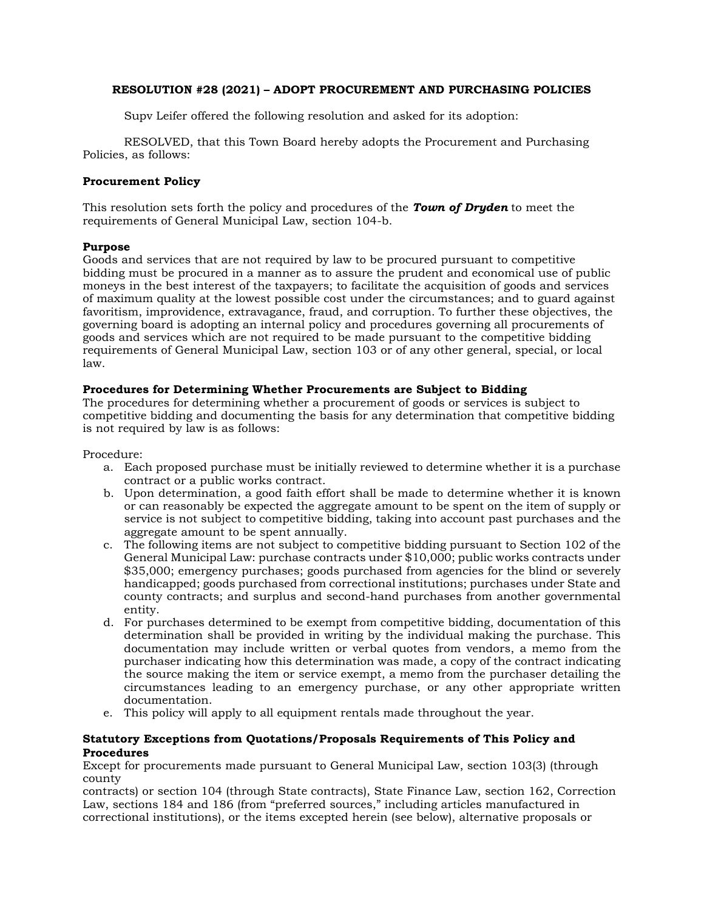# **RESOLUTION #28 (2021) – ADOPT PROCUREMENT AND PURCHASING POLICIES**

Supv Leifer offered the following resolution and asked for its adoption:

RESOLVED, that this Town Board hereby adopts the Procurement and Purchasing Policies, as follows:

# **Procurement Policy**

This resolution sets forth the policy and procedures of the *Town of Dryden* to meet the requirements of General Municipal Law, section 104-b.

## **Purpose**

Goods and services that are not required by law to be procured pursuant to competitive bidding must be procured in a manner as to assure the prudent and economical use of public moneys in the best interest of the taxpayers; to facilitate the acquisition of goods and services of maximum quality at the lowest possible cost under the circumstances; and to guard against favoritism, improvidence, extravagance, fraud, and corruption. To further these objectives, the governing board is adopting an internal policy and procedures governing all procurements of goods and services which are not required to be made pursuant to the competitive bidding requirements of General Municipal Law, section 103 or of any other general, special, or local law.

# **Procedures for Determining Whether Procurements are Subject to Bidding**

The procedures for determining whether a procurement of goods or services is subject to competitive bidding and documenting the basis for any determination that competitive bidding is not required by law is as follows:

Procedure:

- a. Each proposed purchase must be initially reviewed to determine whether it is a purchase contract or a public works contract.
- b. Upon determination, a good faith effort shall be made to determine whether it is known or can reasonably be expected the aggregate amount to be spent on the item of supply or service is not subject to competitive bidding, taking into account past purchases and the aggregate amount to be spent annually.
- c. The following items are not subject to competitive bidding pursuant to Section 102 of the General Municipal Law: purchase contracts under \$10,000; public works contracts under \$35,000; emergency purchases; goods purchased from agencies for the blind or severely handicapped; goods purchased from correctional institutions; purchases under State and county contracts; and surplus and second-hand purchases from another governmental entity.
- d. For purchases determined to be exempt from competitive bidding, documentation of this determination shall be provided in writing by the individual making the purchase. This documentation may include written or verbal quotes from vendors, a memo from the purchaser indicating how this determination was made, a copy of the contract indicating the source making the item or service exempt, a memo from the purchaser detailing the circumstances leading to an emergency purchase, or any other appropriate written documentation.
- e. This policy will apply to all equipment rentals made throughout the year.

# **Statutory Exceptions from Quotations/Proposals Requirements of This Policy and Procedures**

Except for procurements made pursuant to General Municipal Law, section 103(3) (through county

contracts) or section 104 (through State contracts), State Finance Law, section 162, Correction Law, sections 184 and 186 (from "preferred sources," including articles manufactured in correctional institutions), or the items excepted herein (see below), alternative proposals or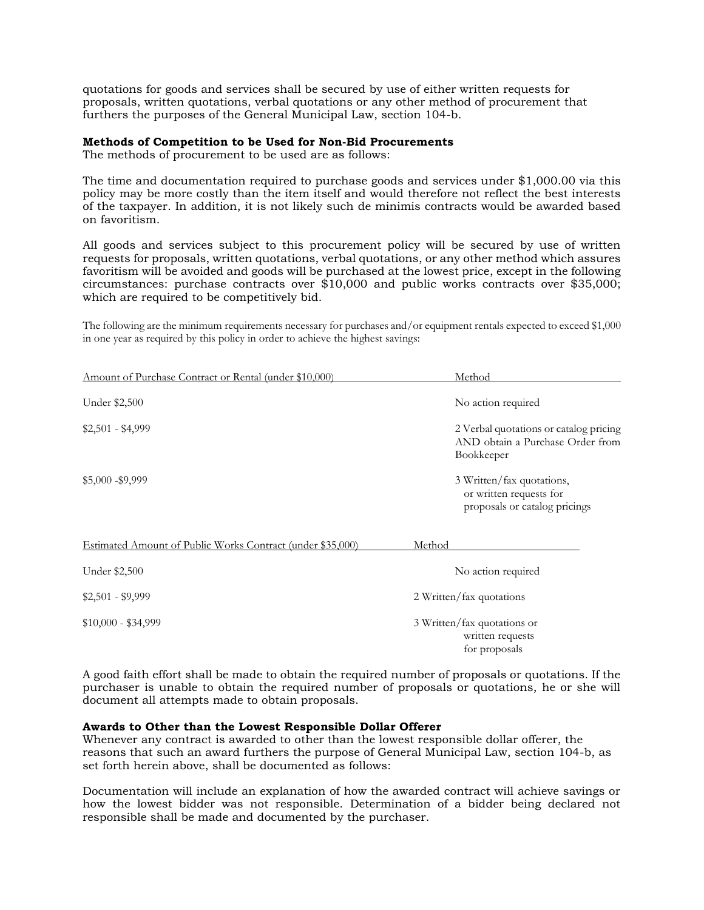quotations for goods and services shall be secured by use of either written requests for proposals, written quotations, verbal quotations or any other method of procurement that furthers the purposes of the General Municipal Law, section 104-b.

### **Methods of Competition to be Used for Non-Bid Procurements**

The methods of procurement to be used are as follows:

The time and documentation required to purchase goods and services under \$1,000.00 via this policy may be more costly than the item itself and would therefore not reflect the best interests of the taxpayer. In addition, it is not likely such de minimis contracts would be awarded based on favoritism.

All goods and services subject to this procurement policy will be secured by use of written requests for proposals, written quotations, verbal quotations, or any other method which assures favoritism will be avoided and goods will be purchased at the lowest price, except in the following circumstances: purchase contracts over \$10,000 and public works contracts over \$35,000; which are required to be competitively bid.

The following are the minimum requirements necessary for purchases and/or equipment rentals expected to exceed \$1,000 in one year as required by this policy in order to achieve the highest savings:

| Amount of Purchase Contract or Rental (under \$10,000)     | Method                                                                                   |  |
|------------------------------------------------------------|------------------------------------------------------------------------------------------|--|
| Under \$2,500                                              | No action required                                                                       |  |
| $$2,501 - $4,999$                                          | 2 Verbal quotations or catalog pricing<br>AND obtain a Purchase Order from<br>Bookkeeper |  |
| $$5,000 - $9,999$                                          | 3 Written/fax quotations,<br>or written requests for<br>proposals or catalog pricings    |  |
| Estimated Amount of Public Works Contract (under \$35,000) | Method                                                                                   |  |
| Under \$2,500<br>No action required                        |                                                                                          |  |
| $$2,501 - $9,999$                                          | 2 Written/fax quotations                                                                 |  |
| $$10,000 - $34,999$                                        | 3 Written/fax quotations or<br>written requests<br>for proposals                         |  |

A good faith effort shall be made to obtain the required number of proposals or quotations. If the purchaser is unable to obtain the required number of proposals or quotations, he or she will document all attempts made to obtain proposals.

## **Awards to Other than the Lowest Responsible Dollar Offerer**

Whenever any contract is awarded to other than the lowest responsible dollar offerer, the reasons that such an award furthers the purpose of General Municipal Law, section 104-b, as set forth herein above, shall be documented as follows:

Documentation will include an explanation of how the awarded contract will achieve savings or how the lowest bidder was not responsible. Determination of a bidder being declared not responsible shall be made and documented by the purchaser.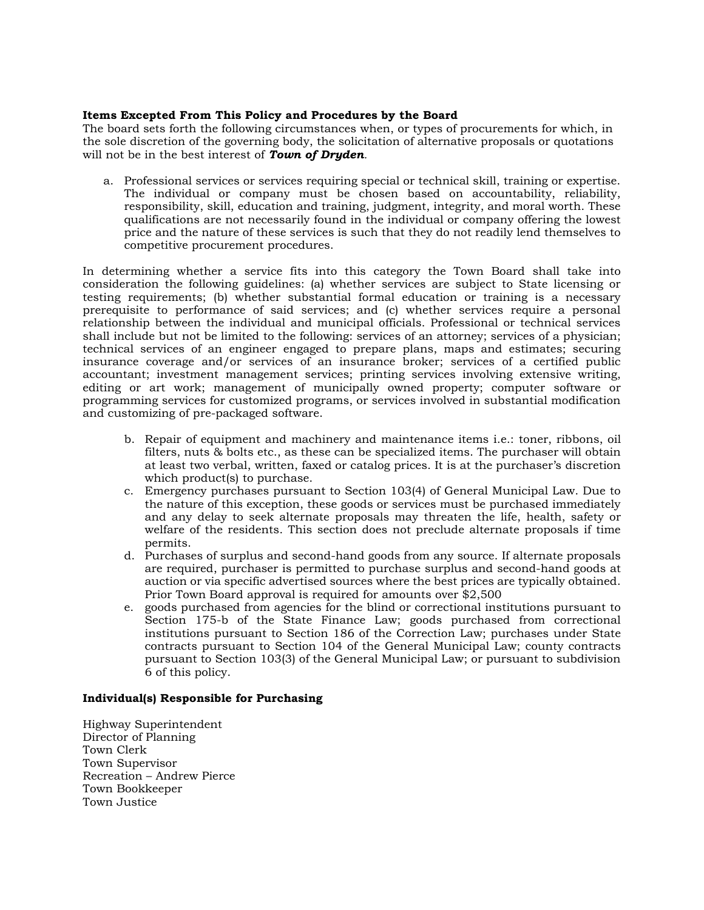# **Items Excepted From This Policy and Procedures by the Board**

The board sets forth the following circumstances when, or types of procurements for which, in the sole discretion of the governing body, the solicitation of alternative proposals or quotations will not be in the best interest of *Town of Dryden.*

a. Professional services or services requiring special or technical skill, training or expertise. The individual or company must be chosen based on accountability, reliability, responsibility, skill, education and training, judgment, integrity, and moral worth. These qualifications are not necessarily found in the individual or company offering the lowest price and the nature of these services is such that they do not readily lend themselves to competitive procurement procedures.

In determining whether a service fits into this category the Town Board shall take into consideration the following guidelines: (a) whether services are subject to State licensing or testing requirements; (b) whether substantial formal education or training is a necessary prerequisite to performance of said services; and (c) whether services require a personal relationship between the individual and municipal officials. Professional or technical services shall include but not be limited to the following: services of an attorney; services of a physician; technical services of an engineer engaged to prepare plans, maps and estimates; securing insurance coverage and/or services of an insurance broker; services of a certified public accountant; investment management services; printing services involving extensive writing, editing or art work; management of municipally owned property; computer software or programming services for customized programs, or services involved in substantial modification and customizing of pre-packaged software.

- b. Repair of equipment and machinery and maintenance items i.e.: toner, ribbons, oil filters, nuts & bolts etc., as these can be specialized items. The purchaser will obtain at least two verbal, written, faxed or catalog prices. It is at the purchaser's discretion which product(s) to purchase.
- c. Emergency purchases pursuant to Section 103(4) of General Municipal Law. Due to the nature of this exception, these goods or services must be purchased immediately and any delay to seek alternate proposals may threaten the life, health, safety or welfare of the residents. This section does not preclude alternate proposals if time permits.
- d. Purchases of surplus and second-hand goods from any source. If alternate proposals are required, purchaser is permitted to purchase surplus and second-hand goods at auction or via specific advertised sources where the best prices are typically obtained. Prior Town Board approval is required for amounts over \$2,500
- e. goods purchased from agencies for the blind or correctional institutions pursuant to Section 175-b of the State Finance Law; goods purchased from correctional institutions pursuant to Section 186 of the Correction Law; purchases under State contracts pursuant to Section 104 of the General Municipal Law; county contracts pursuant to Section 103(3) of the General Municipal Law; or pursuant to subdivision 6 of this policy.

## **Individual(s) Responsible for Purchasing**

Highway Superintendent Director of Planning Town Clerk Town Supervisor Recreation – Andrew Pierce Town Bookkeeper Town Justice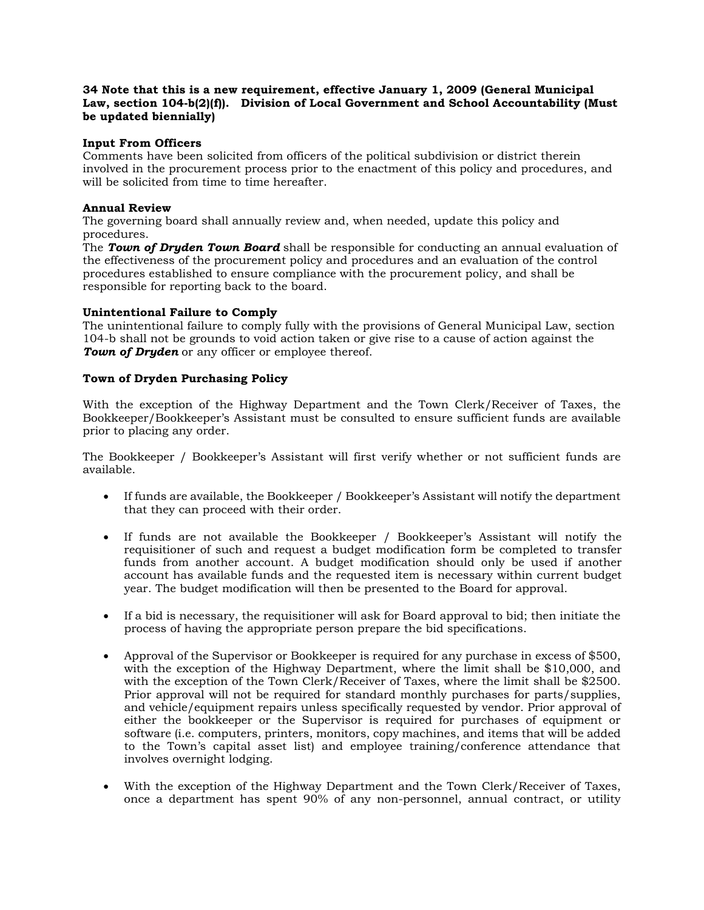# **34 Note that this is a new requirement, effective January 1, 2009 (General Municipal Law, section 104-b(2)(f)). Division of Local Government and School Accountability (Must**  be updated biennially)

## **Input From Officers**

Comments have been solicited from officers of the political subdivision or district therein involved in the procurement process prior to the enactment of this policy and procedures, and will be solicited from time to time hereafter.

#### **Annual Review**

The governing board shall annually review and, when needed, update this policy and procedures.

The *Town of Dryden Town Board* shall be responsible for conducting an annual evaluation of the effectiveness of the procurement policy and procedures and an evaluation of the control procedures established to ensure compliance with the procurement policy, and shall be responsible for reporting back to the board.

#### **Unintentional Failure to Comply**

The unintentional failure to comply fully with the provisions of General Municipal Law, section 104-b shall not be grounds to void action taken or give rise to a cause of action against the **Town of Dryden** or any officer or employee thereof.

#### **Town of Dryden Purchasing Policy**

With the exception of the Highway Department and the Town Clerk/Receiver of Taxes, the Bookkeeper/Bookkeeper's Assistant must be consulted to ensure sufficient funds are available prior to placing any order.

The Bookkeeper / Bookkeeper's Assistant will first verify whether or not sufficient funds are available.

- If funds are available, the Bookkeeper / Bookkeeper's Assistant will notify the department that they can proceed with their order.
- If funds are not available the Bookkeeper / Bookkeeper's Assistant will notify the requisitioner of such and request a budget modification form be completed to transfer funds from another account. A budget modification should only be used if another account has available funds and the requested item is necessary within current budget year. The budget modification will then be presented to the Board for approval.
- If a bid is necessary, the requisitioner will ask for Board approval to bid; then initiate the process of having the appropriate person prepare the bid specifications.
- Approval of the Supervisor or Bookkeeper is required for any purchase in excess of \$500, with the exception of the Highway Department, where the limit shall be \$10,000, and with the exception of the Town Clerk/Receiver of Taxes, where the limit shall be \$2500. Prior approval will not be required for standard monthly purchases for parts/supplies, and vehicle/equipment repairs unless specifically requested by vendor. Prior approval of either the bookkeeper or the Supervisor is required for purchases of equipment or software (i.e. computers, printers, monitors, copy machines, and items that will be added to the Town's capital asset list) and employee training/conference attendance that involves overnight lodging.
- With the exception of the Highway Department and the Town Clerk/Receiver of Taxes, once a department has spent 90% of any non-personnel, annual contract, or utility